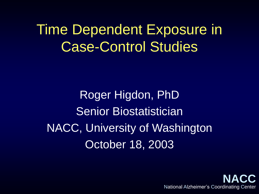Time Dependent Exposure in Case-Control Studies

Roger Higdon, PhD Senior Biostatistician NACC, University of Washington October 18, 2003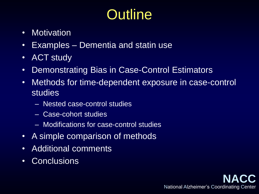# **Outline**

- Motivation
- Examples Dementia and statin use
- ACT study
- Demonstrating Bias in Case-Control Estimators
- Methods for time-dependent exposure in case-control studies
	- Nested case-control studies
	- Case-cohort studies
	- Modifications for case-control studies
- A simple comparison of methods
- Additional comments
- Conclusions

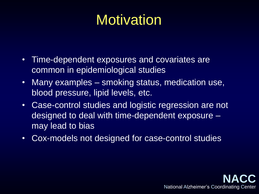## **Motivation**

- Time-dependent exposures and covariates are common in epidemiological studies
- Many examples smoking status, medication use, blood pressure, lipid levels, etc.
- Case-control studies and logistic regression are not designed to deal with time-dependent exposure – may lead to bias
- Cox-models not designed for case-control studies

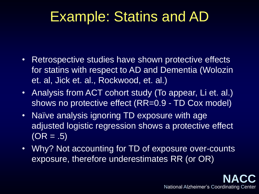## Example: Statins and AD

- Retrospective studies have shown protective effects for statins with respect to AD and Dementia (Wolozin et. al, Jick et. al., Rockwood, et. al.)
- Analysis from ACT cohort study (To appear, Li et. al.) shows no protective effect (RR=0.9 - TD Cox model)
- Naïve analysis ignoring TD exposure with age adjusted logistic regression shows a protective effect  $(OR = .5)$
- Why? Not accounting for TD of exposure over-counts exposure, therefore underestimates RR (or OR)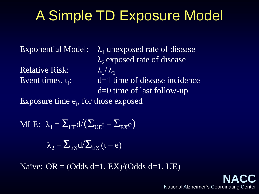# A Simple TD Exposure Model

**Relative Risk:** Event times,  $t_i$ :

Exponential Model:  $\lambda_1$  unexposed rate of disease  $\lambda$ <sub>2</sub> exposed rate of disease  $\lambda_{2}/\lambda_{1}$ : d=1 time of disease incidence d=0 time of last follow-up

Exposure time e<sub>i</sub>, for those exposed

MLE:  $\lambda_1 = \sum_{IIF} d/(\sum_{IIF} t + \sum_{FX} e)$ 

 $\lambda_2 = \sum_{F_X} d / \sum_{F_X} (t - e)$ 

Naïve:  $OR = (Odds d=1, EX)/(Odds d=1, UE)$ 

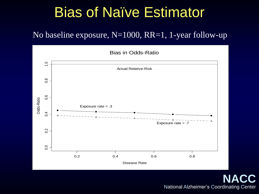#### Bias of Naïve Estimator

#### No baseline exposure, N=1000, RR=1, 1-year follow-up

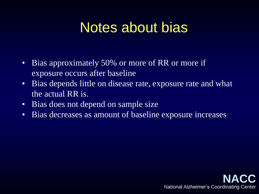### Notes about bias

- Bias approximately 50% or more of RR or more if exposure occurs after baseline
- Bias depends little on disease rate, exposure rate and what the actual RR is.
- Bias does not depend on sample size
- Bias decreases as amount of baseline exposure increases

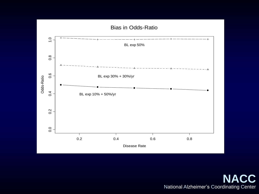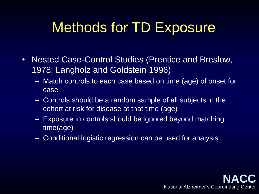# Methods for TD Exposure

- Nested Case-Control Studies (Prentice and Breslow, 1978; Langholz and Goldstein 1996)
	- Match controls to each case based on time (age) of onset for case
	- Controls should be a random sample of all subjects in the cohort at risk for disease at that time (age)
	- Exposure in controls should be ignored beyond matching time(age)
	- Conditional logistic regression can be used for analysis

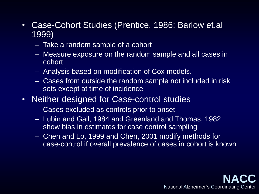- Case-Cohort Studies (Prentice, 1986; Barlow et.al 1999)
	- Take a random sample of a cohort
	- Measure exposure on the random sample and all cases in cohort
	- Analysis based on modification of Cox models.
	- Cases from outside the random sample not included in risk sets except at time of incidence
- Neither designed for Case-control studies
	- Cases excluded as controls prior to onset
	- Lubin and Gail, 1984 and Greenland and Thomas, 1982 show bias in estimates for case control sampling
	- Chen and Lo, 1999 and Chen, 2001 modify methods for case-control if overall prevalence of cases in cohort is known

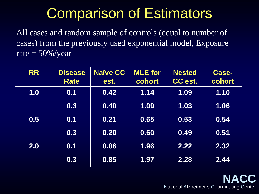## Comparison of Estimators

All cases and random sample of controls (equal to number of cases) from the previously used exponential model, Exposure rate  $= 50\%$ /year

| <b>RR</b> | <b>Disease</b><br><b>Rate</b> | <b>Naïve CC</b><br>est. | <b>MLE</b> for<br>cohort | <b>Nested</b><br>CC est. | <b>Case-</b><br>cohort |
|-----------|-------------------------------|-------------------------|--------------------------|--------------------------|------------------------|
| 1.0       | 0.1                           | 0.42                    | 1.14                     | 1.09                     | 1.10                   |
|           | 0.3                           | 0.40                    | 1.09                     | 1.03                     | 1.06                   |
| 0.5       | 0.1                           | 0.21                    | 0.65                     | 0.53                     | 0.54                   |
|           | 0.3                           | 0.20                    | 0.60                     | 0.49                     | 0.51                   |
| 2.0       | 0.1                           | 0.86                    | 1.96                     | 2.22                     | 2.32                   |
|           | 0.3                           | 0.85                    | 1.97                     | 2.28                     | 2.44                   |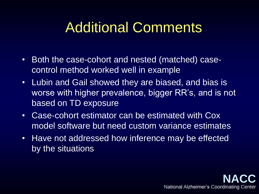## Additional Comments

- Both the case-cohort and nested (matched) casecontrol method worked well in example
- Lubin and Gail showed they are biased, and bias is worse with higher prevalence, bigger RR's, and is not based on TD exposure
- Case-cohort estimator can be estimated with Cox model software but need custom variance estimates
- Have not addressed how inference may be effected by the situations